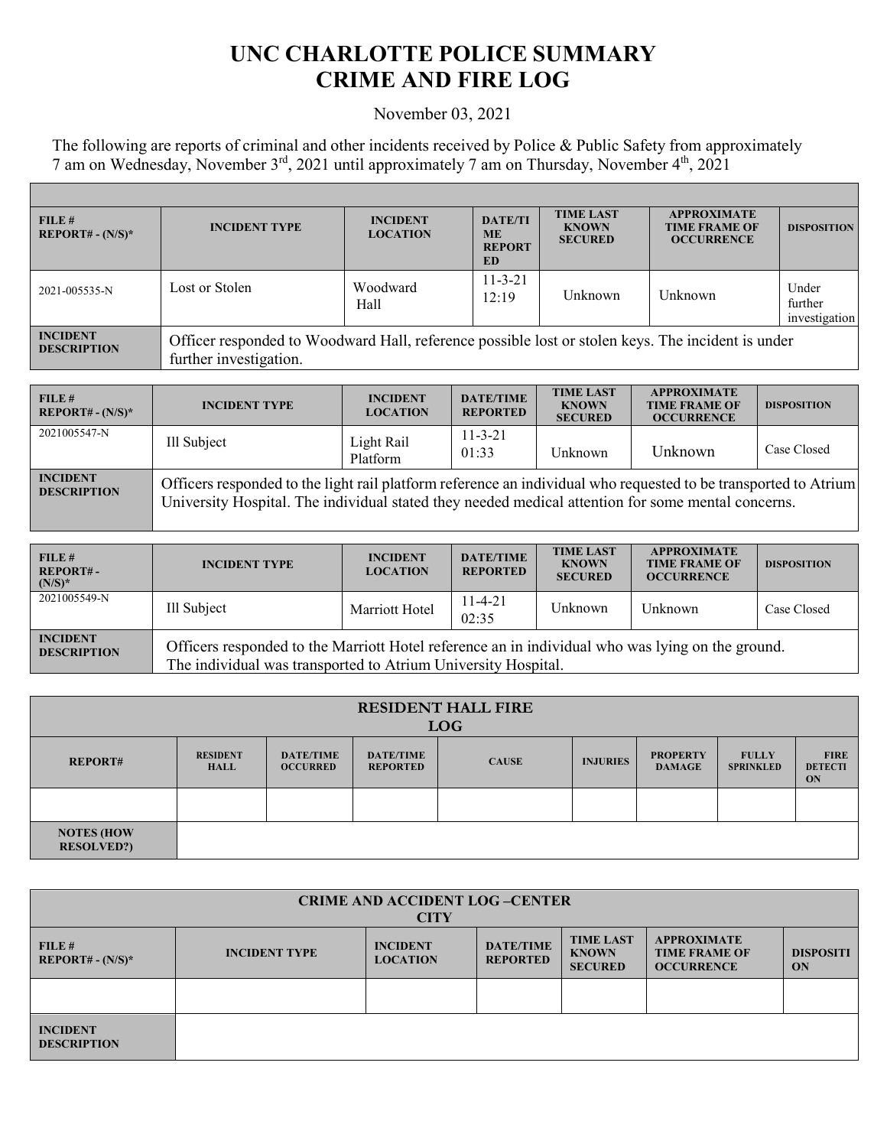## **UNC CHARLOTTE POLICE SUMMARY CRIME AND FIRE LOG**

## November 03, 2021

The following are reports of criminal and other incidents received by Police & Public Safety from approximately 7 am on Wednesday, November 3<sup>rd</sup>, 2021 until approximately 7 am on Thursday, November 4<sup>th</sup>, 2021

| FILE#<br>$REPORT# - (N/S)^*$          | <b>INCIDENT TYPE</b>                                                                                                        | <b>INCIDENT</b><br><b>LOCATION</b> | <b>DATE/TI</b><br><b>ME</b><br><b>REPORT</b><br>ED | <b>TIME LAST</b><br><b>KNOWN</b><br><b>SECURED</b> | <b>APPROXIMATE</b><br><b>TIME FRAME OF</b><br><b>OCCURRENCE</b> | <b>DISPOSITION</b>                |
|---------------------------------------|-----------------------------------------------------------------------------------------------------------------------------|------------------------------------|----------------------------------------------------|----------------------------------------------------|-----------------------------------------------------------------|-----------------------------------|
| 2021-005535-N                         | Lost or Stolen                                                                                                              | Woodward<br>Hall                   | $11 - 3 - 21$<br>12:19                             | Unknown                                            | Unknown                                                         | Under<br>further<br>investigation |
| <b>INCIDENT</b><br><b>DESCRIPTION</b> | Officer responded to Woodward Hall, reference possible lost or stolen keys. The incident is under<br>further investigation. |                                    |                                                    |                                                    |                                                                 |                                   |

| FILE#<br>$REPORT# - (N/S)*$           | <b>INCIDENT TYPE</b>                                                                                                                                                                                                  | <b>INCIDENT</b><br><b>LOCATION</b> | <b>DATE/TIME</b><br><b>REPORTED</b> | <b>TIME LAST</b><br><b>KNOWN</b><br><b>SECURED</b> | <b>APPROXIMATE</b><br><b>TIME FRAME OF</b><br><b>OCCURRENCE</b> | <b>DISPOSITION</b> |
|---------------------------------------|-----------------------------------------------------------------------------------------------------------------------------------------------------------------------------------------------------------------------|------------------------------------|-------------------------------------|----------------------------------------------------|-----------------------------------------------------------------|--------------------|
| 2021005547-N                          | Ill Subject                                                                                                                                                                                                           | Light Rail<br>Platform             | $11 - 3 - 21$<br>01:33              | Unknown                                            | Unknown                                                         | Case Closed        |
| <b>INCIDENT</b><br><b>DESCRIPTION</b> | Officers responded to the light rail platform reference an individual who requested to be transported to Atrium<br>University Hospital. The individual stated they needed medical attention for some mental concerns. |                                    |                                     |                                                    |                                                                 |                    |

| FILE#<br><b>REPORT#-</b><br>$(N/S)^*$ | <b>INCIDENT TYPE</b>                                                                                                                                              | <b>INCIDENT</b><br><b>LOCATION</b> | <b>DATE/TIME</b><br><b>REPORTED</b> | <b>TIME LAST</b><br><b>KNOWN</b><br><b>SECURED</b> | <b>APPROXIMATE</b><br><b>TIME FRAME OF</b><br><b>OCCURRENCE</b> | <b>DISPOSITION</b> |
|---------------------------------------|-------------------------------------------------------------------------------------------------------------------------------------------------------------------|------------------------------------|-------------------------------------|----------------------------------------------------|-----------------------------------------------------------------|--------------------|
| 2021005549-N                          | Ill Subject                                                                                                                                                       | Marriott Hotel                     | $11-4-21$<br>02:35                  | Unknown                                            | Unknown                                                         | Case Closed        |
| <b>INCIDENT</b><br><b>DESCRIPTION</b> | Officers responded to the Marriott Hotel reference an in individual who was lying on the ground.<br>The individual was transported to Atrium University Hospital. |                                    |                                     |                                                    |                                                                 |                    |

| <b>RESIDENT HALL FIRE</b><br><b>LOG</b> |                                |                                     |                                     |              |                 |                                  |                                  |                                     |
|-----------------------------------------|--------------------------------|-------------------------------------|-------------------------------------|--------------|-----------------|----------------------------------|----------------------------------|-------------------------------------|
| <b>REPORT#</b>                          | <b>RESIDENT</b><br><b>HALL</b> | <b>DATE/TIME</b><br><b>OCCURRED</b> | <b>DATE/TIME</b><br><b>REPORTED</b> | <b>CAUSE</b> | <b>INJURIES</b> | <b>PROPERTY</b><br><b>DAMAGE</b> | <b>FULLY</b><br><b>SPRINKLED</b> | <b>FIRE</b><br><b>DETECTI</b><br>ON |
|                                         |                                |                                     |                                     |              |                 |                                  |                                  |                                     |
| <b>NOTES (HOW</b><br><b>RESOLVED?)</b>  |                                |                                     |                                     |              |                 |                                  |                                  |                                     |

| <b>CRIME AND ACCIDENT LOG-CENTER</b><br><b>CITY</b> |                      |                                    |                                     |                                                    |                                                                 |                        |  |
|-----------------------------------------------------|----------------------|------------------------------------|-------------------------------------|----------------------------------------------------|-----------------------------------------------------------------|------------------------|--|
| FILE#<br>$REPORT# - (N/S)*$                         | <b>INCIDENT TYPE</b> | <b>INCIDENT</b><br><b>LOCATION</b> | <b>DATE/TIME</b><br><b>REPORTED</b> | <b>TIME LAST</b><br><b>KNOWN</b><br><b>SECURED</b> | <b>APPROXIMATE</b><br><b>TIME FRAME OF</b><br><b>OCCURRENCE</b> | <b>DISPOSITI</b><br>ON |  |
|                                                     |                      |                                    |                                     |                                                    |                                                                 |                        |  |
| <b>INCIDENT</b><br><b>DESCRIPTION</b>               |                      |                                    |                                     |                                                    |                                                                 |                        |  |